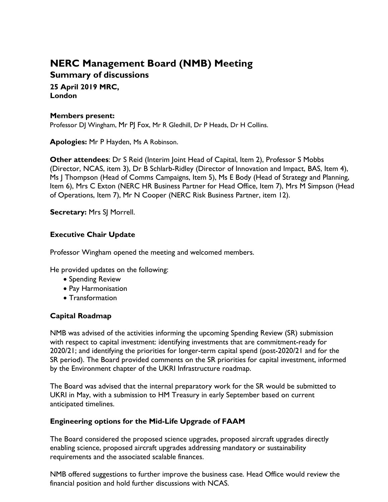# **NERC Management Board (NMB) Meeting**

**Summary of discussions**

**25 April 2019 MRC, London**

## **Members present:**

Professor DJ Wingham, Mr PJ Fox, Mr R Gledhill, Dr P Heads, Dr H Collins.

**Apologies:** Mr P Hayden, Ms A Robinson.

**Other attendees:** Dr S Reid (Interim Joint Head of Capital, Item 2), Professor S Mobbs (Director, NCAS, item 3), Dr B Schlarb-Ridley (Director of Innovation and Impact, BAS, Item 4), Ms J Thompson (Head of Comms Campaigns, Item 5), Ms E Body (Head of Strategy and Planning, Item 6), Mrs C Exton (NERC HR Business Partner for Head Office, Item 7), Mrs M Simpson (Head of Operations, Item 7), Mr N Cooper (NERC Risk Business Partner, item 12).

**Secretary:** Mrs SJ Morrell.

# **Executive Chair Update**

Professor Wingham opened the meeting and welcomed members.

He provided updates on the following:

- Spending Review
- Pay Harmonisation
- Transformation

# **Capital Roadmap**

NMB was advised of the activities informing the upcoming Spending Review (SR) submission with respect to capital investment: identifying investments that are commitment-ready for 2020/21; and identifying the priorities for longer-term capital spend (post-2020/21 and for the SR period). The Board provided comments on the SR priorities for capital investment, informed by the Environment chapter of the UKRI Infrastructure roadmap.

The Board was advised that the internal preparatory work for the SR would be submitted to UKRI in May, with a submission to HM Treasury in early September based on current anticipated timelines.

# **Engineering options for the Mid-Life Upgrade of FAAM**

The Board considered the proposed science upgrades, proposed aircraft upgrades directly enabling science, proposed aircraft upgrades addressing mandatory or sustainability requirements and the associated scalable finances.

NMB offered suggestions to further improve the business case. Head Office would review the financial position and hold further discussions with NCAS.